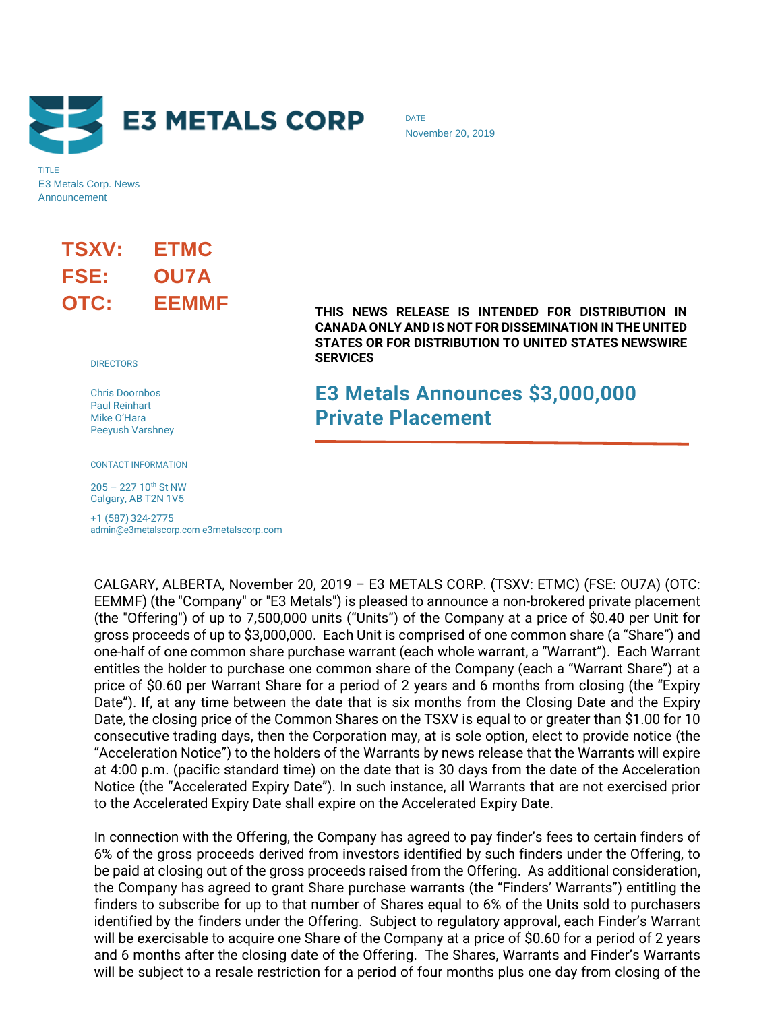

TITLE E3 Metals Corp. News Announcement

# **TSXV: ETMC FSE: OU7A OTC: EEMMF**

**DIRECTORS** 

Chris Doornbos Paul Reinhart Mike O'Hara Peeyush Varshney

CONTACT INFORMATION

 $205 - 227 10^{th}$  St NW Calgary, AB T2N 1V5

+1 (587) 324-2775 admin@e3metalscorp.com e3metalscorp.com DATE November 20, 2019

**THIS NEWS RELEASE IS INTENDED FOR DISTRIBUTION IN CANADA ONLY AND IS NOT FOR DISSEMINATION IN THE UNITED STATES OR FOR DISTRIBUTION TO UNITED STATES NEWSWIRE SERVICES**

# **E3 Metals Announces \$3,000,000 Private Placement**

CALGARY, ALBERTA, November 20, 2019 – E3 METALS CORP. (TSXV: ETMC) (FSE: OU7A) (OTC: EEMMF) (the "Company" or "E3 Metals") is pleased to announce a non-brokered private placement (the "Offering") of up to 7,500,000 units ("Units") of the Company at a price of \$0.40 per Unit for gross proceeds of up to \$3,000,000. Each Unit is comprised of one common share (a "Share") and one-half of one common share purchase warrant (each whole warrant, a "Warrant"). Each Warrant entitles the holder to purchase one common share of the Company (each a "Warrant Share") at a price of \$0.60 per Warrant Share for a period of 2 years and 6 months from closing (the "Expiry Date"). If, at any time between the date that is six months from the Closing Date and the Expiry Date, the closing price of the Common Shares on the TSXV is equal to or greater than \$1.00 for 10 consecutive trading days, then the Corporation may, at is sole option, elect to provide notice (the "Acceleration Notice") to the holders of the Warrants by news release that the Warrants will expire at 4:00 p.m. (pacific standard time) on the date that is 30 days from the date of the Acceleration Notice (the "Accelerated Expiry Date"). In such instance, all Warrants that are not exercised prior to the Accelerated Expiry Date shall expire on the Accelerated Expiry Date.

In connection with the Offering, the Company has agreed to pay finder's fees to certain finders of 6% of the gross proceeds derived from investors identified by such finders under the Offering, to be paid at closing out of the gross proceeds raised from the Offering. As additional consideration, the Company has agreed to grant Share purchase warrants (the "Finders' Warrants") entitling the finders to subscribe for up to that number of Shares equal to 6% of the Units sold to purchasers identified by the finders under the Offering. Subject to regulatory approval, each Finder's Warrant will be exercisable to acquire one Share of the Company at a price of \$0.60 for a period of 2 years and 6 months after the closing date of the Offering. The Shares, Warrants and Finder's Warrants will be subject to a resale restriction for a period of four months plus one day from closing of the